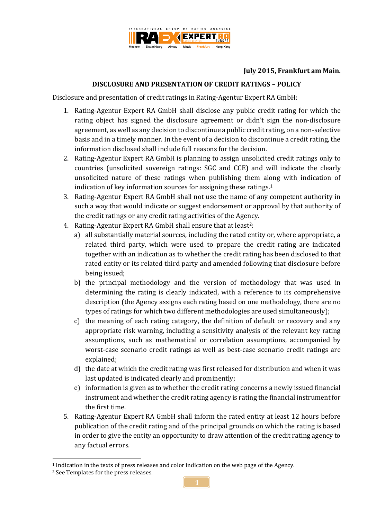

## **July 2015, Frankfurt am Main.**

## **DISCLOSURE AND PRESENTATION OF CREDIT RATINGS – POLICY**

Disclosure and presentation of credit ratings in Rating-Agentur Expert RA GmbH:

- 1. Rating-Agentur Expert RA GmbH shall disclose any public credit rating for which the rating object has signed the disclosure agreement or didn't sign the non-disclosure agreement, as well as any decision to discontinue a public credit rating, on a non-selective basis and in a timely manner. In the event of a decision to discontinue a credit rating, the information disclosed shall include full reasons for the decision.
- 2. Rating-Agentur Expert RA GmbH is planning to assign unsolicited credit ratings only to countries (unsolicited sovereign ratings: SGC and CCE) and will indicate the clearly unsolicited nature of these ratings when publishing them along with indication of indication of key information sources for assigning these ratings. 1
- 3. Rating-Agentur Expert RA GmbH shall not use the name of any competent authority in such a way that would indicate or suggest endorsement or approval by that authority of the credit ratings or any credit rating activities of the Agency.
- 4. Rating-Agentur Expert RA GmbH shall ensure that at least<sup>2</sup>:
	- a) all substantially material sources, including the rated entity or, where appropriate, a related third party, which were used to prepare the credit rating are indicated together with an indication as to whether the credit rating has been disclosed to that rated entity or its related third party and amended following that disclosure before being issued;
	- b) the principal methodology and the version of methodology that was used in determining the rating is clearly indicated, with a reference to its comprehensive description (the Agency assigns each rating based on one methodology, there are no types of ratings for which two different methodologies are used simultaneously);
	- c) the meaning of each rating category, the definition of default or recovery and any appropriate risk warning, including a sensitivity analysis of the relevant key rating assumptions, such as mathematical or correlation assumptions, accompanied by worst-case scenario credit ratings as well as best-case scenario credit ratings are explained;
	- d) the date at which the credit rating was first released for distribution and when it was last updated is indicated clearly and prominently;
	- e) information is given as to whether the credit rating concerns a newly issued financial instrument and whether the credit rating agency is rating the financial instrument for the first time.
- 5. Rating-Agentur Expert RA GmbH shall inform the rated entity at least 12 hours before publication of the credit rating and of the principal grounds on which the rating is based in order to give the entity an opportunity to draw attention of the credit rating agency to any factual errors.

1

<sup>1</sup> Indication in the texts of press releases and color indication on the web page of the Agency.

<sup>2</sup> See Templates for the press releases.